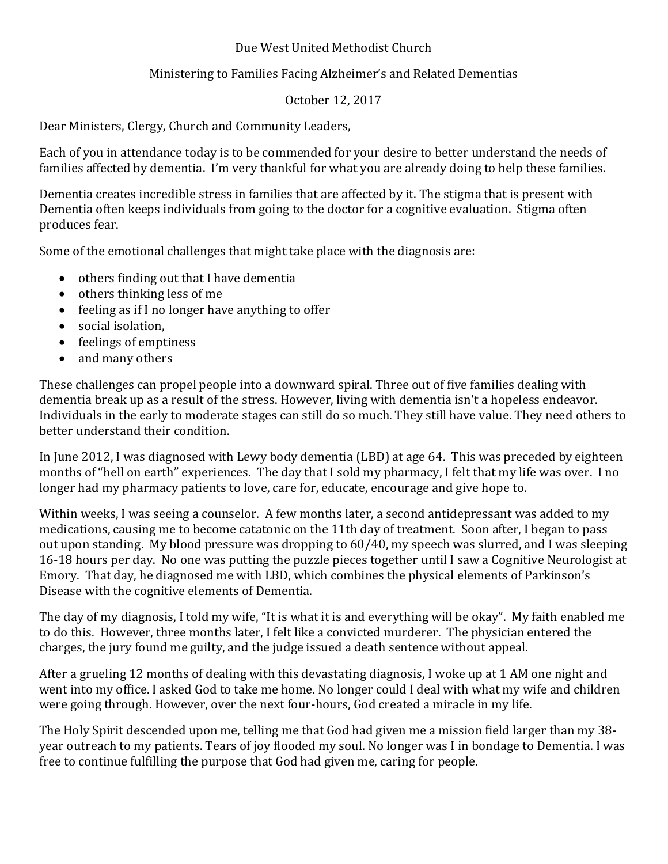## Due West United Methodist Church

## Ministering to Families Facing Alzheimer's and Related Dementias

## October 12, 2017

Dear Ministers, Clergy, Church and Community Leaders,

Each of you in attendance today is to be commended for your desire to better understand the needs of families affected by dementia. I'm very thankful for what you are already doing to help these families.

Dementia creates incredible stress in families that are affected by it. The stigma that is present with Dementia often keeps individuals from going to the doctor for a cognitive evaluation. Stigma often produces fear. 

Some of the emotional challenges that might take place with the diagnosis are:

- $\bullet$  others finding out that I have dementia
- $\bullet$  others thinking less of me
- feeling as if I no longer have anything to offer
- social isolation.
- feelings of emptiness
- and many others

These challenges can propel people into a downward spiral. Three out of five families dealing with dementia break up as a result of the stress. However, living with dementia isn't a hopeless endeavor. Individuals in the early to moderate stages can still do so much. They still have value. They need others to better understand their condition.

In June 2012, I was diagnosed with Lewy body dementia (LBD) at age 64. This was preceded by eighteen months of "hell on earth" experiences. The day that I sold my pharmacy, I felt that my life was over. I no longer had my pharmacy patients to love, care for, educate, encourage and give hope to.

Within weeks, I was seeing a counselor. A few months later, a second antidepressant was added to my medications, causing me to become catatonic on the 11th day of treatment. Soon after, I began to pass out upon standing. My blood pressure was dropping to 60/40, my speech was slurred, and I was sleeping 16-18 hours per day. No one was putting the puzzle pieces together until I saw a Cognitive Neurologist at Emory. That day, he diagnosed me with LBD, which combines the physical elements of Parkinson's Disease with the cognitive elements of Dementia.

The day of my diagnosis, I told my wife, "It is what it is and everything will be okay". My faith enabled me to do this. However, three months later, I felt like a convicted murderer. The physician entered the charges, the jury found me guilty, and the judge issued a death sentence without appeal.

After a grueling 12 months of dealing with this devastating diagnosis, I woke up at 1 AM one night and went into my office. I asked God to take me home. No longer could I deal with what my wife and children were going through. However, over the next four-hours, God created a miracle in my life.

The Holy Spirit descended upon me, telling me that God had given me a mission field larger than my 38year outreach to my patients. Tears of joy flooded my soul. No longer was I in bondage to Dementia. I was free to continue fulfilling the purpose that God had given me, caring for people.